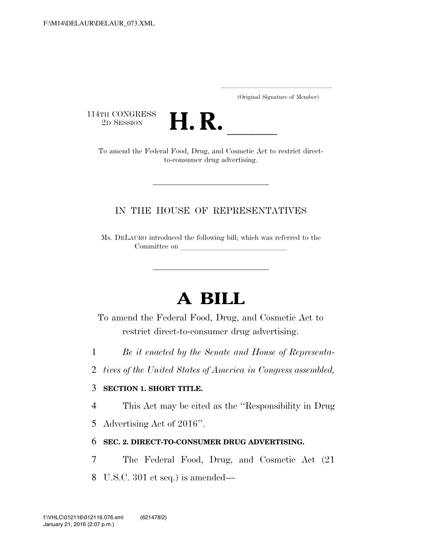..................................................................... (Original Signature of Member)

114TH CONGRESS<br>2D SESSION



TH CONGRESS<br>
2D SESSION<br>
To amend the Federal Food, Drug, and Cosmetic Act to restrict directto-consumer drug advertising.

## IN THE HOUSE OF REPRESENTATIVES

Ms. DELAURO introduced the following bill; which was referred to the Committee on

## **A BILL**

To amend the Federal Food, Drug, and Cosmetic Act to restrict direct-to-consumer drug advertising.

- 1 *Be it enacted by the Senate and House of Representa-*
- 2 *tives of the United States of America in Congress assembled,*

## 3 **SECTION 1. SHORT TITLE.**

4 This Act may be cited as the ''Responsibility in Drug

5 Advertising Act of 2016''.

## 6 **SEC. 2. DIRECT-TO-CONSUMER DRUG ADVERTISING.**

- 7 The Federal Food, Drug, and Cosmetic Act (21
- 8 U.S.C. 301 et seq.) is amended—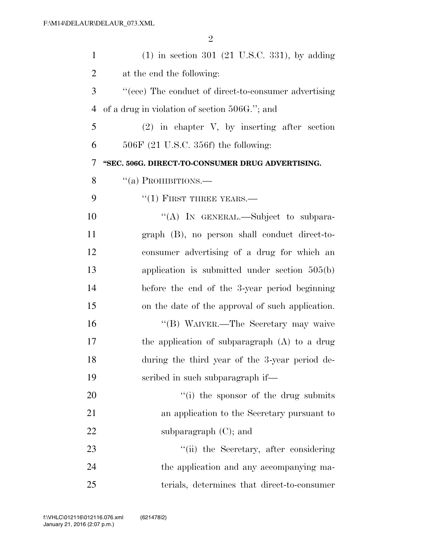| $\mathbf{1}$   | $(1)$ in section 301 (21 U.S.C. 331), by adding      |
|----------------|------------------------------------------------------|
| $\overline{2}$ | at the end the following:                            |
| 3              | "(eee) The conduct of direct-to-consumer advertising |
| $\overline{4}$ | of a drug in violation of section 506G."; and        |
| 5              | $(2)$ in chapter V, by inserting after section       |
| 6              | $506F$ (21 U.S.C. 356f) the following:               |
| 7              | "SEC. 506G. DIRECT-TO-CONSUMER DRUG ADVERTISING.     |
| 8              | "(a) PROHIBITIONS.—                                  |
| 9              | $``(1)$ FIRST THREE YEARS.—                          |
| 10             | "(A) IN GENERAL.—Subject to subpara-                 |
| 11             | graph (B), no person shall conduct direct-to-        |
| 12             | consumer advertising of a drug for which an          |
| 13             | application is submitted under section $505(b)$      |
| 14             | before the end of the 3-year period beginning        |
| 15             | on the date of the approval of such application.     |
| 16             | "(B) WAIVER.—The Secretary may waive                 |
| 17             | the application of subparagraph (A) to a drug        |
| 18             | during the third year of the 3-year period de-       |
| 19             | scribed in such subparagraph if—                     |
| 20             | "(i) the sponsor of the drug submits"                |
| 21             | an application to the Secretary pursuant to          |
| 22             | subparagraph $(C)$ ; and                             |
| 23             | "(ii) the Secretary, after considering               |
| 24             | the application and any accompanying ma-             |
| 25             | terials, determines that direct-to-consumer          |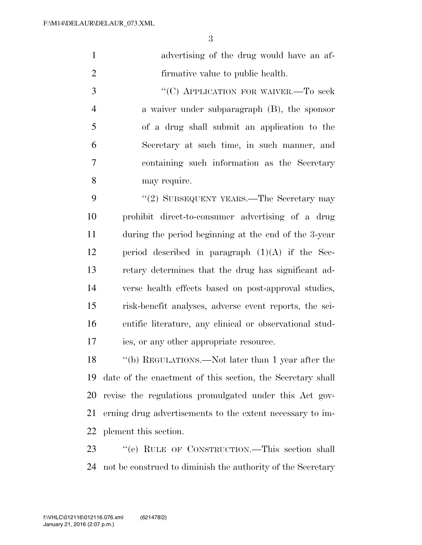| advertising of the drug would have an af- |
|-------------------------------------------|
| firmative value to public health.         |

3 "<sup>"</sup>(C) APPLICATION FOR WAIVER.—To seek a waiver under subparagraph (B), the sponsor of a drug shall submit an application to the Secretary at such time, in such manner, and containing such information as the Secretary may require.

9 "(2) SUBSEQUENT YEARS.—The Secretary may prohibit direct-to-consumer advertising of a drug during the period beginning at the end of the 3-year 12 period described in paragraph  $(1)(A)$  if the Sec- retary determines that the drug has significant ad- verse health effects based on post-approval studies, risk-benefit analyses, adverse event reports, the sci- entific literature, any clinical or observational stud-ies, or any other appropriate resource.

 ''(b) REGULATIONS.—Not later than 1 year after the date of the enactment of this section, the Secretary shall revise the regulations promulgated under this Act gov- erning drug advertisements to the extent necessary to im-plement this section.

23 " (c) RULE OF CONSTRUCTION.—This section shall not be construed to diminish the authority of the Secretary